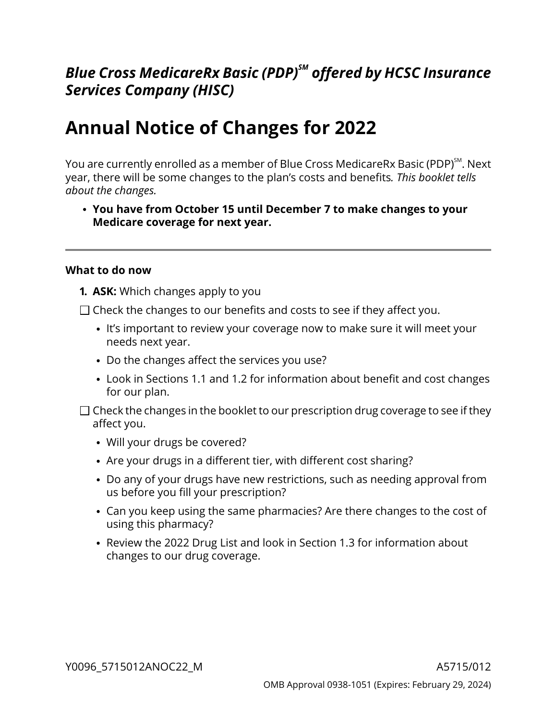# *Blue Cross MedicareRx Basic (PDP)SM offered by HCSC Insurance Services Company (HISC)*

# **Annual Notice of Changes for 2022**

You are currently enrolled as a member of Blue Cross MedicareRx Basic (PDP)<sup>sм</sup>. Next year, there will be some changes to the plan's costs and benefits*. This booklet tells about the changes.*

**You have from October 15 until December 7 to make changes to your Medicare coverage for next year.**

#### **What to do now**

- **1. ASK:** Which changes apply to you
- $\Box$  Check the changes to our benefits and costs to see if they affect you.
	- It's important to review your coverage now to make sure it will meet your needs next year.
	- Do the changes affect the services you use?
	- Look in Sections [1.1](#page-6-0) and [1.2](#page-6-1) for information about benefit and cost changes for our plan.
- $\Box$  Check the changes in the booklet to our prescription drug coverage to see if they affect you.
	- Will your drugs be covered?
	- Are your drugs in a different tier, with different cost sharing?
	- Do any of your drugs have new restrictions, such as needing approval from us before you fill your prescription?
	- Can you keep using the same pharmacies? Are there changes to the cost of using this pharmacy?
	- Review the 2022 Drug List and look in Section [1.3](#page-7-0) for information about changes to our drug coverage.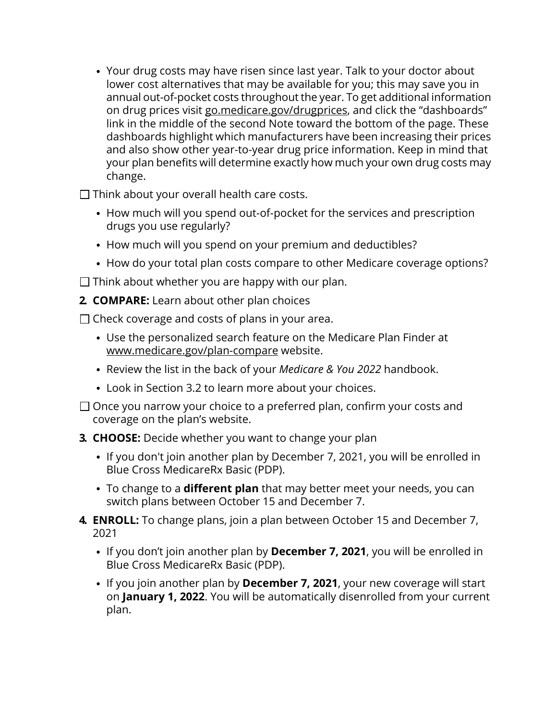Your drug costs may have risen since last year. Talk to your doctor about lower cost alternatives that may be available for you; this may save you in annual out-of-pocket costs throughout the year. To get additional information on drug prices visit [go.medicare.gov/drugprices,](https://go.medicare.gov/drugprices) and click the "dashboards" link in the middle of the second Note toward the bottom of the page. These dashboards highlight which manufacturers have been increasing their prices and also show other year-to-year drug price information. Keep in mind that your plan benefits will determine exactly how much your own drug costs may change.

 $\Box$  Think about your overall health care costs.

- How much will you spend out-of-pocket for the services and prescription drugs you use regularly?
- How much will you spend on your premium and deductibles?
- How do your total plan costs compare to other Medicare coverage options?

 $\Box$  Think about whether you are happy with our plan.

**2. COMPARE:** Learn about other plan choices

 $\Box$  Check coverage and costs of plans in your area.

- Use the personalized search feature on the Medicare Plan Finder at [www.medicare.gov/plan-compare](http://www.medicare.gov/plan-compare) website.
- Review the list in the back of your *Medicare & You 2022* handbook.
- Look in Section [3.2](#page-11-0) to learn more about your choices.
- $\Box$  Once you narrow your choice to a preferred plan, confirm your costs and coverage on the plan's website.
- **3. CHOOSE:** Decide whether you want to change your plan
	- If you don't join another plan by December 7, 2021, you will be enrolled in Blue Cross MedicareRx Basic (PDP).
	- To change to a **different plan** that may better meet your needs, you can switch plans between October 15 and December 7.
- **4. ENROLL:** To change plans, join a plan between October 15 and December 7, 2021
	- If you don't join another plan by **December 7, 2021**, you will be enrolled in Blue Cross MedicareRx Basic (PDP).
	- If you join another plan by **December 7, 2021**, your new coverage will start on **January 1, 2022**. You will be automatically disenrolled from your current plan.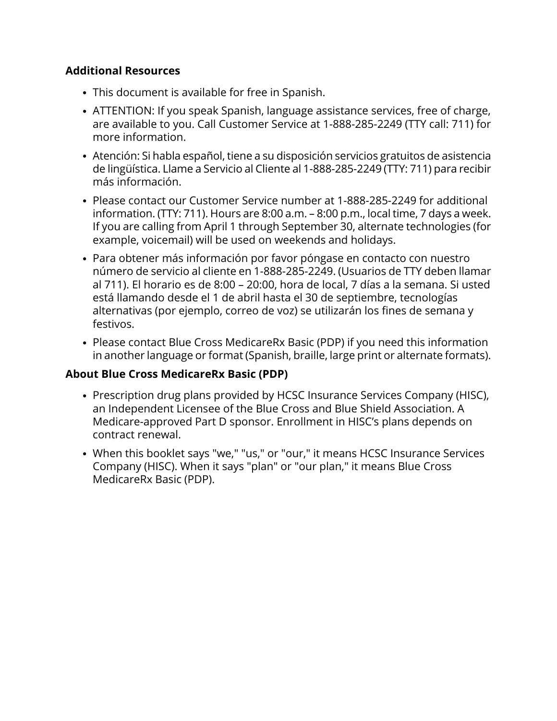## **Additional Resources**

- This document is available for free in Spanish.
- ATTENTION: If you speak Spanish, language assistance services, free of charge, are available to you. Call Customer Service at 1-888-285-2249 (TTY call: 711) for more information.
- Atención: Si habla español, tiene a su disposición servicios gratuitos de asistencia de lingüística. Llame a Servicio al Cliente al 1-888-285-2249 (TTY: 711) para recibir más información.
- Please contact our Customer Service number at 1-888-285-2249 for additional information. (TTY: 711). Hours are 8:00 a.m. – 8:00 p.m., local time, 7 days a week. If you are calling from April 1 through September 30, alternate technologies (for example, voicemail) will be used on weekends and holidays.
- Para obtener más información por favor póngase en contacto con nuestro número de servicio al cliente en 1-888-285-2249. (Usuarios de TTY deben llamar al 711). El horario es de 8:00 – 20:00, hora de local, 7 días a la semana. Si usted está llamando desde el 1 de abril hasta el 30 de septiembre, tecnologías alternativas (por ejemplo, correo de voz) se utilizarán los fines de semana y festivos.
- Please contact Blue Cross MedicareRx Basic (PDP) if you need this information in another language or format (Spanish, braille, large print or alternate formats).

## **About Blue Cross MedicareRx Basic (PDP)**

- Prescription drug plans provided by HCSC Insurance Services Company (HISC), an Independent Licensee of the Blue Cross and Blue Shield Association. A Medicare-approved Part D sponsor. Enrollment in HISC's plans depends on contract renewal.
- When this booklet says "we," "us," or "our," it means HCSC Insurance Services Company (HISC). When it says "plan" or "our plan," it means Blue Cross MedicareRx Basic (PDP).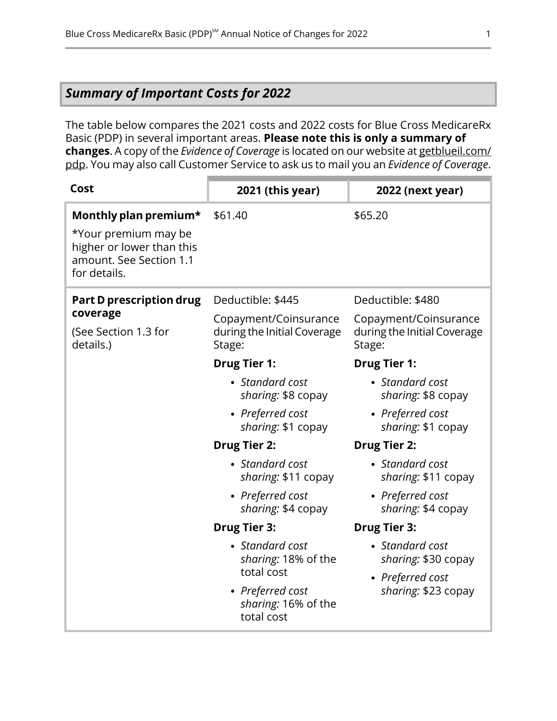## <span id="page-3-0"></span>*Summary of Important Costs for 2022*

The table below compares the 2021 costs and 2022 costs for Blue Cross MedicareRx Basic (PDP) in several important areas. **Please note this is only a summary of changes**. A copy of the *Evidence of Coverage* is located on our website at [getblueil.com/](https://www.bcbsil.com/medicare/blue-cross-medicare-options/part-d-plans) [pdp](https://www.bcbsil.com/medicare/blue-cross-medicare-options/part-d-plans). You may also call Customer Service to ask us to mail you an *Evidence of Coverage*.

| Cost                                                                                                                  | 2021 (this year)                                                                                                                                                                                                  | 2022 (next year)                                                                                                                                                                                                  |
|-----------------------------------------------------------------------------------------------------------------------|-------------------------------------------------------------------------------------------------------------------------------------------------------------------------------------------------------------------|-------------------------------------------------------------------------------------------------------------------------------------------------------------------------------------------------------------------|
| Monthly plan premium*<br>*Your premium may be<br>higher or lower than this<br>amount. See Section 1.1<br>for details. | \$61.40                                                                                                                                                                                                           | \$65.20                                                                                                                                                                                                           |
| <b>Part D prescription drug</b><br>coverage<br>(See Section 1.3 for<br>details.)                                      | Deductible: \$445<br>Copayment/Coinsurance<br>during the Initial Coverage<br>Stage:                                                                                                                               | Deductible: \$480<br>Copayment/Coinsurance<br>during the Initial Coverage<br>Stage:                                                                                                                               |
|                                                                                                                       | <b>Drug Tier 1:</b><br>• Standard cost<br>sharing: \$8 copay<br>• Preferred cost<br>sharing: \$1 copay<br><b>Drug Tier 2:</b><br>• Standard cost<br>sharing: \$11 copay<br>• Preferred cost<br>sharing: \$4 copay | <b>Drug Tier 1:</b><br>• Standard cost<br>sharing: \$8 copay<br>• Preferred cost<br>sharing: \$1 copay<br><b>Drug Tier 2:</b><br>• Standard cost<br>sharing: \$11 copay<br>• Preferred cost<br>sharing: \$4 copay |
|                                                                                                                       | <b>Drug Tier 3:</b><br>• Standard cost<br>sharing: 18% of the<br>total cost<br>• Preferred cost<br>sharing: 16% of the<br>total cost                                                                              | <b>Drug Tier 3:</b><br>• Standard cost<br>sharing: \$30 copay<br>• Preferred cost<br>sharing: \$23 copay                                                                                                          |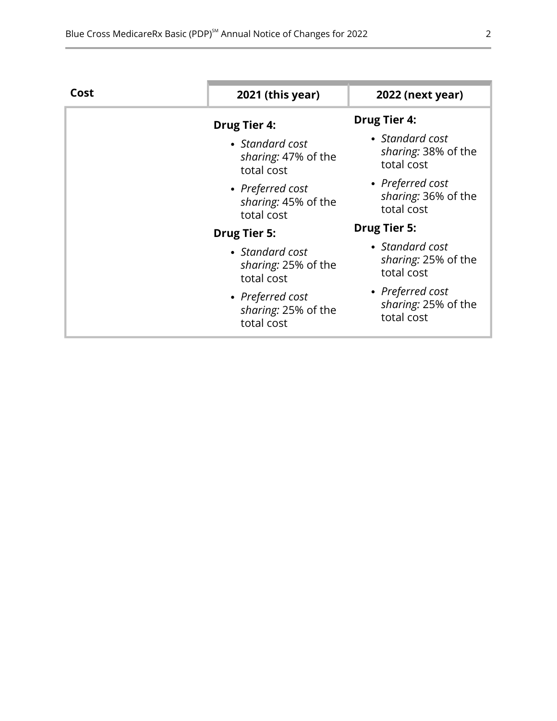| Cost | 2021 (this year)                                      | 2022 (next year)                                      |
|------|-------------------------------------------------------|-------------------------------------------------------|
|      | <b>Drug Tier 4:</b>                                   | <b>Drug Tier 4:</b>                                   |
|      | • Standard cost<br>sharing: 47% of the<br>total cost  | • Standard cost<br>sharing: 38% of the<br>total cost  |
|      | • Preferred cost<br>sharing: 45% of the<br>total cost | • Preferred cost<br>sharing: 36% of the<br>total cost |
|      | <b>Drug Tier 5:</b>                                   | <b>Drug Tier 5:</b>                                   |
|      | • Standard cost<br>sharing: 25% of the<br>total cost  | • Standard cost<br>sharing: 25% of the<br>total cost  |
|      | • Preferred cost<br>sharing: 25% of the<br>total cost | • Preferred cost<br>sharing: 25% of the<br>total cost |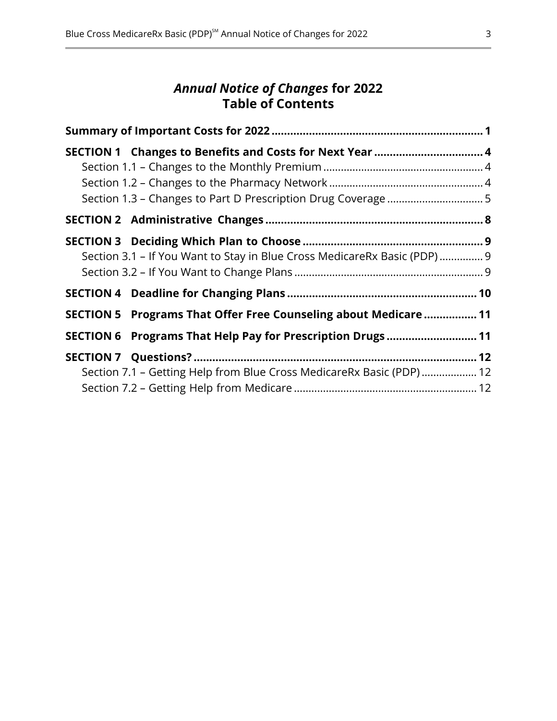## *Annual Notice of Changes* **for 2022 Table of Contents**

| SECTION 1 Changes to Benefits and Costs for Next Year  4                  |  |
|---------------------------------------------------------------------------|--|
|                                                                           |  |
|                                                                           |  |
| Section 3.1 - If You Want to Stay in Blue Cross MedicareRx Basic (PDP)  9 |  |
|                                                                           |  |
| SECTION 5 Programs That Offer Free Counseling about Medicare  11          |  |
| SECTION 6 Programs That Help Pay for Prescription Drugs  11               |  |
| Section 7.1 - Getting Help from Blue Cross MedicareRx Basic (PDP)  12     |  |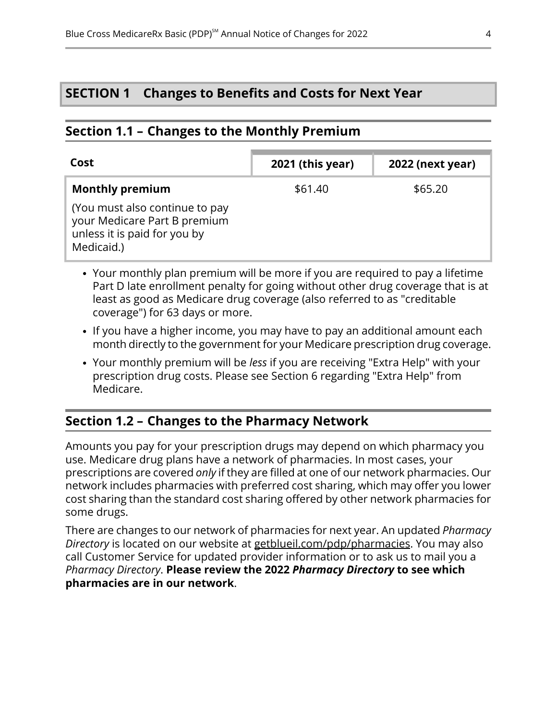## <span id="page-6-2"></span>**SECTION 1 Changes to Benefits and Costs for Next Year**

## <span id="page-6-0"></span>**Section 1.1 – Changes to the Monthly Premium**

| Cost                                                                                                         | 2021 (this year) | <b>2022 (next year)</b> |
|--------------------------------------------------------------------------------------------------------------|------------------|-------------------------|
| <b>Monthly premium</b>                                                                                       | \$61.40          | \$65.20                 |
| (You must also continue to pay<br>your Medicare Part B premium<br>unless it is paid for you by<br>Medicaid.) |                  |                         |

- Your monthly plan premium will be more if you are required to pay a lifetime Part D late enrollment penalty for going without other drug coverage that is at least as good as Medicare drug coverage (also referred to as "creditable coverage") for 63 days or more.
- If you have a higher income, you may have to pay an additional amount each month directly to the government for your Medicare prescription drug coverage.
- <span id="page-6-1"></span>Your monthly premium will be *less* if you are receiving "Extra Help" with your prescription drug costs. Please see Section [6](#page-13-1) regarding "Extra Help" from Medicare.

## **Section 1.2 – Changes to the Pharmacy Network**

l

Amounts you pay for your prescription drugs may depend on which pharmacy you use. Medicare drug plans have a network of pharmacies. In most cases, your prescriptions are covered *only* if they are filled at one of our network pharmacies. Our network includes pharmacies with preferred cost sharing, which may offer you lower cost sharing than the standard cost sharing offered by other network pharmacies for some drugs.

There are changes to our network of pharmacies for next year. An updated *Pharmacy Directory* is located on our website at [getblueil.com/pdp/pharmacies](https://www.bcbsil.com/medicare/blue-cross-medicare-options/part-d-plans/using-your-plan/pharmacies). You may also call Customer Service for updated provider information or to ask us to mail you a *Pharmacy Directory*. **Please review the 2022** *Pharmacy Directory* **to see which pharmacies are in our network**.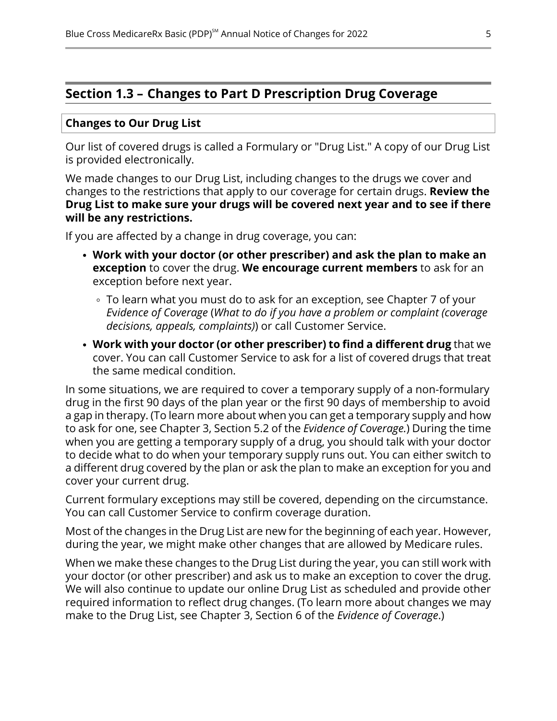## <span id="page-7-0"></span>**Section 1.3 – Changes to Part D Prescription Drug Coverage**

#### **Changes to Our Drug List**

Our list of covered drugs is called a Formulary or "Drug List." A copy of our Drug List is provided electronically.

We made changes to our Drug List, including changes to the drugs we cover and changes to the restrictions that apply to our coverage for certain drugs. **Review the Drug List to make sure your drugs will be covered next year and to see if there will be any restrictions.**

If you are affected by a change in drug coverage, you can:

- **Work with your doctor (or other prescriber) and ask the plan to make an exception** to cover the drug. **We encourage current members** to ask for an exception before next year.
	- To learn what you must do to ask for an exception, see Chapter 7 of your *E*v*idence of Coverage* (*What to do if you have a problem or complaint (coverage decisions, appeals, complaints)*) or call Customer Service.
- **Work with your doctor (or other prescriber) to find a different drug** that we cover. You can call Customer Service to ask for a list of covered drugs that treat the same medical condition.

In some situations, we are required to cover a temporary supply of a non-formulary drug in the first 90 days of the plan year or the first 90 days of membership to avoid a gap in therapy. (To learn more about when you can get a temporary supply and how to ask for one, see Chapter 3, Section 5.2 of the *Evidence of Coverage.*) During the time when you are getting a temporary supply of a drug, you should talk with your doctor to decide what to do when your temporary supply runs out. You can either switch to a different drug covered by the plan or ask the plan to make an exception for you and cover your current drug.

Current formulary exceptions may still be covered, depending on the circumstance. You can call Customer Service to confirm coverage duration.

Most of the changes in the Drug List are new for the beginning of each year. However, during the year, we might make other changes that are allowed by Medicare rules.

When we make these changes to the Drug List during the year, you can still work with your doctor (or other prescriber) and ask us to make an exception to cover the drug. We will also continue to update our online Drug List as scheduled and provide other required information to reflect drug changes. (To learn more about changes we may make to the Drug List, see Chapter 3, Section 6 of the *Evidence of Coverage*.)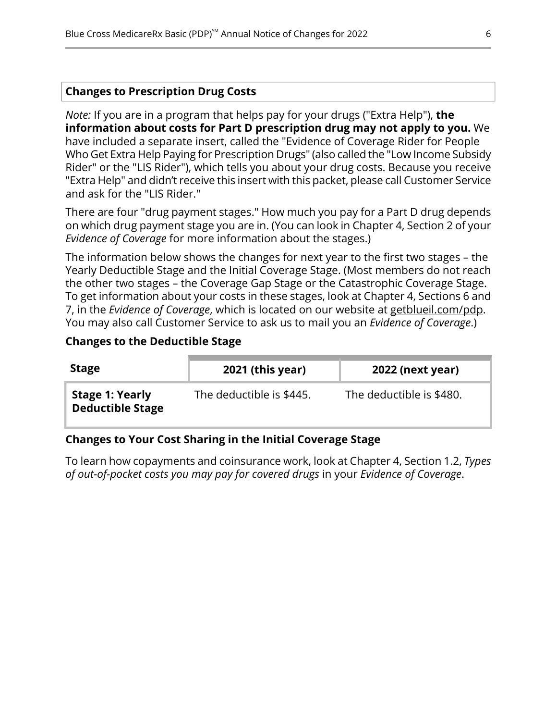#### **Changes to Prescription Drug Costs**

*Note:* If you are in a program that helps pay for your drugs ("Extra Help"), **the information about costs for Part D prescription drug may not apply to you.** We have included a separate insert, called the "Evidence of Coverage Rider for People Who Get Extra Help Paying for Prescription Drugs" (also called the "Low Income Subsidy Rider" or the "LIS Rider"), which tells you about your drug costs. Because you receive "Extra Help" and didn't receive this insert with this packet, please call Customer Service and ask for the "LIS Rider."

There are four "drug payment stages." How much you pay for a Part D drug depends on which drug payment stage you are in. (You can look in Chapter 4, Section 2 of your *Evidence of Coverage* for more information about the stages.)

The information below shows the changes for next year to the first two stages – the Yearly Deductible Stage and the Initial Coverage Stage. (Most members do not reach the other two stages – the Coverage Gap Stage or the Catastrophic Coverage Stage. To get information about your costs in these stages, look at Chapter 4, Sections 6 and 7, in the *Evidence of Coverage*, which is located on our website at [getblueil.com/pdp](https://www.bcbsil.com/medicare/blue-cross-medicare-options/part-d-plans). You may also call Customer Service to ask us to mail you an *Evidence of Coverage*.)

#### **Changes to the Deductible Stage**

| <b>Stage</b>                                      | 2021 (this year)         | <b>2022 (next year)</b>  |
|---------------------------------------------------|--------------------------|--------------------------|
| <b>Stage 1: Yearly</b><br><b>Deductible Stage</b> | The deductible is \$445. | The deductible is \$480. |

#### **Changes to Your Cost Sharing in the Initial Coverage Stage**

To learn how copayments and coinsurance work, look at Chapter 4, Section 1.2, *Types of out-of-pocket costs you may pay for covered drugs* in your *Evidence of Coverage*.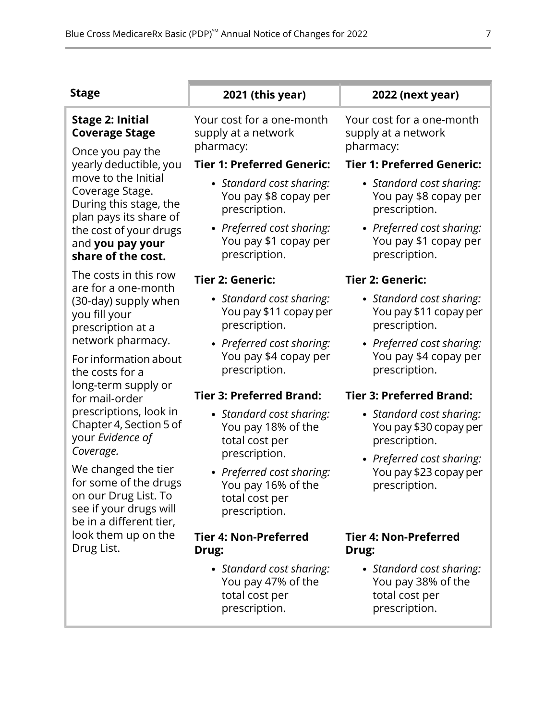| <b>Stage</b>                                                                                                              | 2021 (this year)                                                                   | 2022 (next year)                                                                  |
|---------------------------------------------------------------------------------------------------------------------------|------------------------------------------------------------------------------------|-----------------------------------------------------------------------------------|
| <b>Stage 2: Initial</b><br><b>Coverage Stage</b><br>Once you pay the                                                      | Your cost for a one-month<br>supply at a network<br>pharmacy:                      | Your cost for a one-month<br>supply at a network<br>pharmacy:                     |
| yearly deductible, you                                                                                                    | <b>Tier 1: Preferred Generic:</b>                                                  | <b>Tier 1: Preferred Generic:</b>                                                 |
| move to the Initial<br>Coverage Stage.<br>During this stage, the<br>plan pays its share of                                | • Standard cost sharing:<br>You pay \$8 copay per<br>prescription.                 | • Standard cost sharing:<br>You pay \$8 copay per<br>prescription.                |
| the cost of your drugs<br>and you pay your<br>share of the cost.                                                          | • Preferred cost sharing:<br>You pay \$1 copay per<br>prescription.                | • Preferred cost sharing:<br>You pay \$1 copay per<br>prescription.               |
| The costs in this row<br>are for a one-month                                                                              | Tier 2: Generic:                                                                   | <b>Tier 2: Generic:</b>                                                           |
| (30-day) supply when<br>you fill your<br>prescription at a                                                                | • Standard cost sharing:<br>You pay \$11 copay per<br>prescription.                | • Standard cost sharing:<br>You pay \$11 copay per<br>prescription.               |
| network pharmacy.<br>For information about<br>the costs for a                                                             | • Preferred cost sharing:<br>You pay \$4 copay per<br>prescription.                | • Preferred cost sharing:<br>You pay \$4 copay per<br>prescription.               |
| long-term supply or<br>for mail-order                                                                                     | <b>Tier 3: Preferred Brand:</b>                                                    | <b>Tier 3: Preferred Brand:</b>                                                   |
| prescriptions, look in<br>Chapter 4, Section 5 of<br>your Evidence of                                                     | • Standard cost sharing:<br>You pay 18% of the<br>total cost per                   | • Standard cost sharing:<br>You pay \$30 copay per<br>prescription.               |
| Coverage.                                                                                                                 | prescription.                                                                      | • Preferred cost sharing:                                                         |
| We changed the tier<br>for some of the drugs<br>on our Drug List. To<br>see if your drugs will<br>be in a different tier, | • Preferred cost sharing:<br>You pay 16% of the<br>total cost per<br>prescription. | You pay \$23 copay per<br>prescription.                                           |
| look them up on the<br>Drug List.                                                                                         | <b>Tier 4: Non-Preferred</b><br>Drug:                                              | <b>Tier 4: Non-Preferred</b><br>Drug:                                             |
|                                                                                                                           | • Standard cost sharing:<br>You pay 47% of the<br>total cost per<br>prescription.  | • Standard cost sharing:<br>You pay 38% of the<br>total cost per<br>prescription. |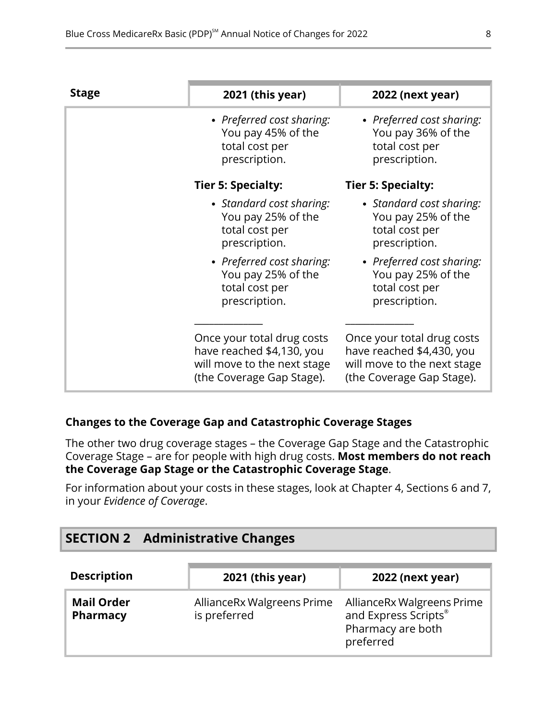| <b>Stage</b> | 2021 (this year)                                                                                                    | 2022 (next year)                                                                                                    |
|--------------|---------------------------------------------------------------------------------------------------------------------|---------------------------------------------------------------------------------------------------------------------|
|              | • Preferred cost sharing:<br>You pay 45% of the<br>total cost per<br>prescription.                                  | • Preferred cost sharing:<br>You pay 36% of the<br>total cost per<br>prescription.                                  |
|              | <b>Tier 5: Specialty:</b>                                                                                           | Tier 5: Specialty:                                                                                                  |
|              | • Standard cost sharing:<br>You pay 25% of the<br>total cost per<br>prescription.                                   | • Standard cost sharing:<br>You pay 25% of the<br>total cost per<br>prescription.                                   |
|              | • Preferred cost sharing:<br>You pay 25% of the<br>total cost per<br>prescription.                                  | • Preferred cost sharing:<br>You pay 25% of the<br>total cost per<br>prescription.                                  |
|              | Once your total drug costs<br>have reached \$4,130, you<br>will move to the next stage<br>(the Coverage Gap Stage). | Once your total drug costs<br>have reached \$4,430, you<br>will move to the next stage<br>(the Coverage Gap Stage). |

## **Changes to the Coverage Gap and Catastrophic Coverage Stages**

The other two drug coverage stages – the Coverage Gap Stage and the Catastrophic Coverage Stage – are for people with high drug costs. **Most members do not reach the Coverage Gap Stage or the Catastrophic Coverage Stage**.

<span id="page-10-0"></span>For information about your costs in these stages, look at Chapter 4, Sections 6 and 7, in your *Evidence of Coverage*.

# **SECTION 2 Administrative Changes**

| <b>Description</b>            | 2021 (this year)                           | <b>2022 (next year)</b>                                                              |
|-------------------------------|--------------------------------------------|--------------------------------------------------------------------------------------|
| <b>Mail Order</b><br>Pharmacy | AllianceRx Walgreens Prime<br>is preferred | AllianceRx Walgreens Prime<br>and Express Scripts®<br>Pharmacy are both<br>preferred |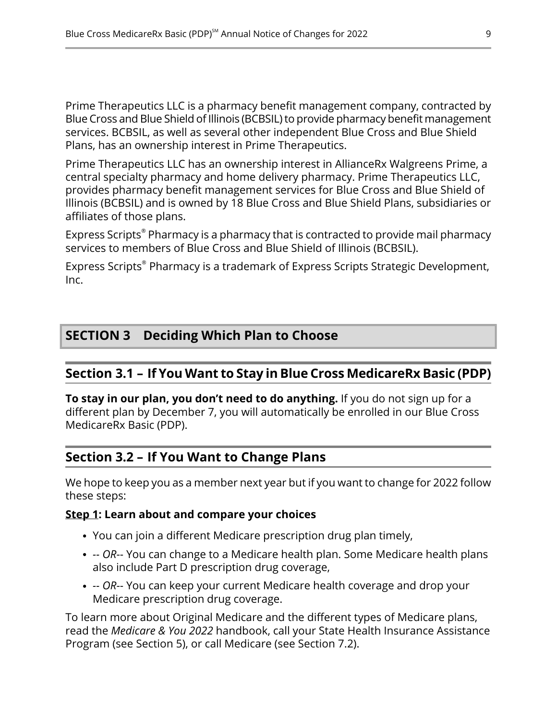Prime Therapeutics LLC is a pharmacy benefit management company, contracted by Blue Cross and Blue Shield of Illinois (BCBSIL) to provide pharmacy benefit management services. BCBSIL, as well as several other independent Blue Cross and Blue Shield Plans, has an ownership interest in Prime Therapeutics.

Prime Therapeutics LLC has an ownership interest in AllianceRx Walgreens Prime, a central specialty pharmacy and home delivery pharmacy. Prime Therapeutics LLC, provides pharmacy benefit management services for Blue Cross and Blue Shield of Illinois (BCBSIL) and is owned by 18 Blue Cross and Blue Shield Plans, subsidiaries or affiliates of those plans.

Express Scripts® Pharmacy is a pharmacy that is contracted to provide mail pharmacy services to members of Blue Cross and Blue Shield of Illinois (BCBSIL).

<span id="page-11-1"></span>Express Scripts® Pharmacy is a trademark of Express Scripts Strategic Development, Inc.

## <span id="page-11-2"></span>**SECTION 3 Deciding Which Plan to Choose**

## **Section 3.1 – If You Want to Stay in Blue Cross MedicareRx Basic (PDP)**

<span id="page-11-0"></span>**To stay in our plan, you don't need to do anything.** If you do not sign up for a different plan by December 7, you will automatically be enrolled in our Blue Cross MedicareRx Basic (PDP).

## **Section 3.2 – If You Want to Change Plans**

l

We hope to keep you as a member next year but if you want to change for 2022 follow these steps:

#### **Step 1: Learn about and compare your choices**

- You can join a different Medicare prescription drug plan timely,
- *-- OR*-- You can change to a Medicare health plan. Some Medicare health plans also include Part D prescription drug coverage,
- *-- OR*-- You can keep your current Medicare health coverage and drop your Medicare prescription drug coverage.

To learn more about Original Medicare and the different types of Medicare plans, read the *Medicare & You 2022* handbook, call your State Health Insurance Assistance Program (see Section [5](#page-13-0)), or call Medicare (see Section [7.2\)](#page-14-2).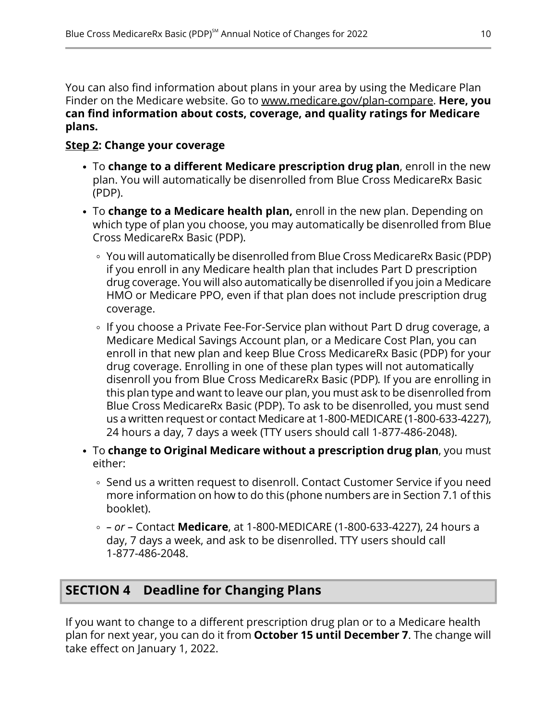You can also find information about plans in your area by using the Medicare Plan Finder on the Medicare website. Go to [www.medicare.gov/plan-compare](http://www.medicare.gov/plan-compare). **Here, you can find information about costs, coverage, and quality ratings for Medicare plans.**

#### **Step 2: Change your coverage**

- To **change to a different Medicare prescription drug plan**, enroll in the new plan. You will automatically be disenrolled from Blue Cross MedicareRx Basic (PDP).
- To **change to a Medicare health plan,** enroll in the new plan. Depending on which type of plan you choose, you may automatically be disenrolled from Blue Cross MedicareRx Basic (PDP).
	- You will automatically be disenrolled from Blue Cross MedicareRx Basic (PDP) if you enroll in any Medicare health plan that includes Part D prescription drug coverage. You will also automatically be disenrolled if you join a Medicare HMO or Medicare PPO, even if that plan does not include prescription drug coverage.
	- ∘ If you choose a Private Fee-For-Service plan without Part D drug coverage, a Medicare Medical Savings Account plan, or a Medicare Cost Plan, you can enroll in that new plan and keep Blue Cross MedicareRx Basic (PDP) for your drug coverage. Enrolling in one of these plan types will not automatically disenroll you from Blue Cross MedicareRx Basic (PDP)*.* If you are enrolling in this plan type and want to leave our plan, you must ask to be disenrolled from Blue Cross MedicareRx Basic (PDP). To ask to be disenrolled, you must send us a written request or contact Medicare at 1-800-MEDICARE (1-800-633-4227), 24 hours a day, 7 days a week (TTY users should call 1-877-486-2048).
- To **change to Original Medicare without a prescription drug plan**, you must either:
	- ∘ Send us a written request to disenroll. Contact Customer Service if you need more information on how to do this (phone numbers are in Section [7.1](#page-14-1) of this booklet).
	- *– or –* Contact **Medicare**, at 1-800-MEDICARE (1-800-633-4227), 24 hours a day, 7 days a week, and ask to be disenrolled. TTY users should call 1-877-486-2048.

# <span id="page-12-0"></span>**SECTION 4 Deadline for Changing Plans**

If you want to change to a different prescription drug plan or to a Medicare health plan for next year, you can do it from **October 15 until December 7**. The change will take effect on January 1, 2022.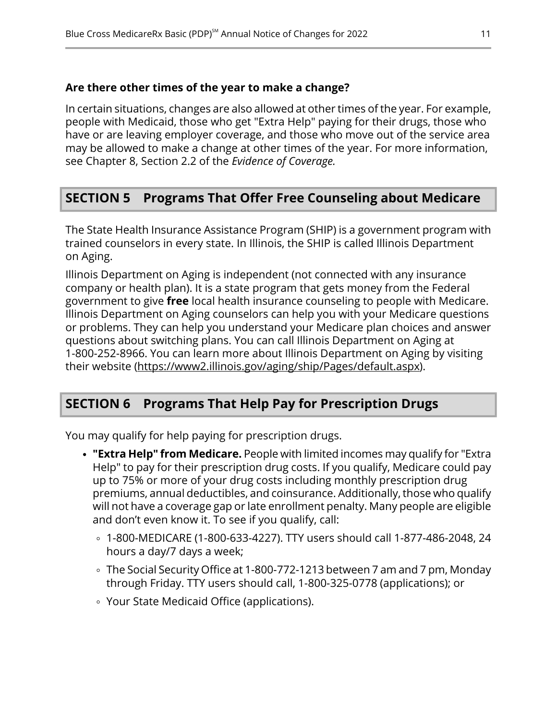#### **Are there other times of the year to make a change?**

In certain situations, changes are also allowed at other times of the year. For example, people with Medicaid, those who get "Extra Help" paying for their drugs, those who have or are leaving employer coverage, and those who move out of the service area may be allowed to make a change at other times of the year. For more information, see Chapter 8, Section 2.2 of the *Evidence of Coverage.*

## <span id="page-13-0"></span>**SECTION 5 Programs That Offer Free Counseling about Medicare**

The State Health Insurance Assistance Program (SHIP) is a government program with trained counselors in every state. In Illinois, the SHIP is called Illinois Department on Aging.

Illinois Department on Aging is independent (not connected with any insurance company or health plan). It is a state program that gets money from the Federal government to give **free** local health insurance counseling to people with Medicare. Illinois Department on Aging counselors can help you with your Medicare questions or problems. They can help you understand your Medicare plan choices and answer questions about switching plans. You can call Illinois Department on Aging at 1-800-252-8966. You can learn more about Illinois Department on Aging by visiting their website [\(https://www2.illinois.gov/aging/ship/Pages/default.aspx](https://www2.illinois.gov/aging/ship/Pages/default.aspx)).

## <span id="page-13-1"></span>**SECTION 6 Programs That Help Pay for Prescription Drugs**

You may qualify for help paying for prescription drugs.

- **"Extra Help" from Medicare.** People with limited incomes may qualify for "Extra Help" to pay for their prescription drug costs. If you qualify, Medicare could pay up to 75% or more of your drug costs including monthly prescription drug premiums, annual deductibles, and coinsurance. Additionally, those who qualify will not have a coverage gap or late enrollment penalty. Many people are eligible and don't even know it. To see if you qualify, call:
	- 1-800-MEDICARE (1-800-633-4227). TTY users should call 1-877-486-2048, 24 hours a day/7 days a week;
	- The Social Security Office at 1-800-772-1213 between 7 am and 7 pm, Monday through Friday. TTY users should call, 1-800-325-0778 (applications); or
	- Your State Medicaid Office (applications).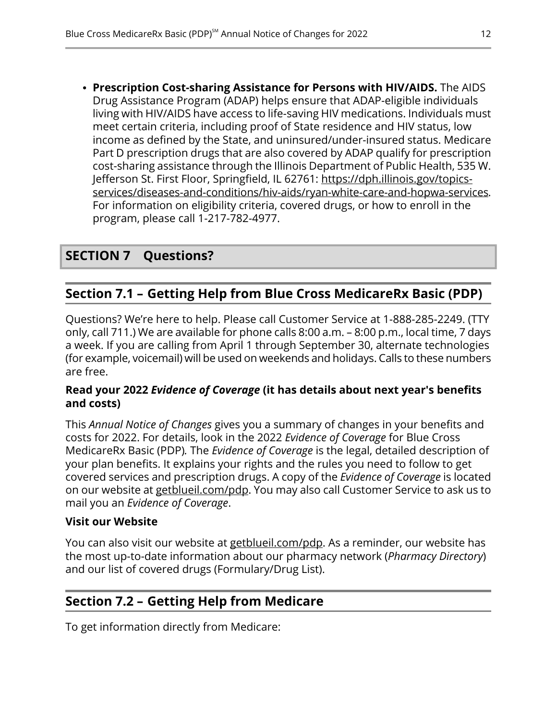**Prescription Cost-sharing Assistance for Persons with HIV/AIDS.** The AIDS Drug Assistance Program (ADAP) helps ensure that ADAP-eligible individuals living with HIV/AIDS have access to life-saving HIV medications. Individuals must meet certain criteria, including proof of State residence and HIV status, low income as defined by the State, and uninsured/under-insured status. Medicare Part D prescription drugs that are also covered by ADAP qualify for prescription cost-sharing assistance through the Illinois Department of Public Health, 535 W. Jefferson St. First Floor, Springfield, IL 62761: [https://dph.illinois.gov/topics](https://dph.illinois.gov/topics-services/diseases-and-conditions/hiv-aids/ryan-white-care-and-hopwa-services) [services/diseases-and-conditions/hiv-aids/ryan-white-care-and-hopwa-services.](https://dph.illinois.gov/topics-services/diseases-and-conditions/hiv-aids/ryan-white-care-and-hopwa-services) For information on eligibility criteria, covered drugs, or how to enroll in the program, please call 1-217-782-4977.

## <span id="page-14-1"></span><span id="page-14-0"></span>**SECTION 7 Questions?**

## **Section 7.1 – Getting Help from Blue Cross MedicareRx Basic (PDP)**

Questions? We're here to help. Please call Customer Service at 1-888-285-2249. (TTY only, call 711.) We are available for phone calls 8:00 a.m. – 8:00 p.m., local time, 7 days a week. If you are calling from April 1 through September 30, alternate technologies (for example, voicemail) will be used on weekends and holidays. Calls to these numbers are free.

#### **Read your 2022** *Evidence of Coverage* **(it has details about next year's benefits and costs)**

This *Annual Notice of Changes* gives you a summary of changes in your benefits and costs for 2022. For details, look in the 2022 *Evidence of Coverage* for Blue Cross MedicareRx Basic (PDP)*.* The *Evidence of Coverage* is the legal, detailed description of your plan benefits. It explains your rights and the rules you need to follow to get covered services and prescription drugs. A copy of the *Evidence of Coverage* is located on our website at [getblueil.com/pdp](https://www.bcbsil.com/medicare/blue-cross-medicare-options/part-d-plans). You may also call Customer Service to ask us to mail you an *Evidence of Coverage*.

#### **Visit our Website**

l

<span id="page-14-2"></span>You can also visit our website at [getblueil.com/pdp.](https://www.bcbsil.com/medicare/blue-cross-medicare-options/part-d-plans) As a reminder, our website has the most up-to-date information about our pharmacy network (*Pharmacy Directory*) and our list of covered drugs (Formulary/Drug List).

## **Section 7.2 – Getting Help from Medicare**

To get information directly from Medicare: